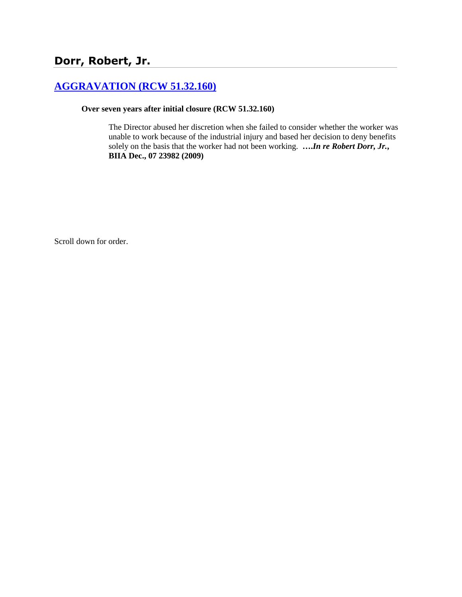# **[AGGRAVATION \(RCW 51.32.160\)](http://www.biia.wa.gov/SDSubjectIndex.html#AGGRAVATION)**

### **Over seven years after initial closure (RCW 51.32.160)**

The Director abused her discretion when she failed to consider whether the worker was unable to work because of the industrial injury and based her decision to deny benefits solely on the basis that the worker had not been working. **….***In re Robert Dorr, Jr.***, BIIA Dec., 07 23982 (2009)**

Scroll down for order.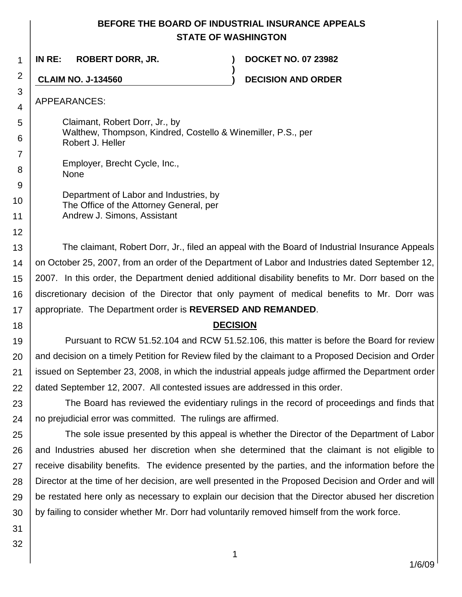# **BEFORE THE BOARD OF INDUSTRIAL INSURANCE APPEALS STATE OF WASHINGTON**

**)**

**IN RE: ROBERT DORR, JR. ) DOCKET NO. 07 23982**

**CLAIM NO. J-134560 ) DECISION AND ORDER**

APPEARANCES:

1

2

3 4

5

6

7

8

12

18

Claimant, Robert Dorr, Jr., by Walthew, Thompson, Kindred, Costello & Winemiller, P.S., per Robert J. Heller

Employer, Brecht Cycle, Inc., None

9 10 11 Department of Labor and Industries, by The Office of the Attorney General, per Andrew J. Simons, Assistant

13 14 15 16 17 The claimant, Robert Dorr, Jr., filed an appeal with the Board of Industrial Insurance Appeals on October 25, 2007, from an order of the Department of Labor and Industries dated September 12, 2007. In this order, the Department denied additional disability benefits to Mr. Dorr based on the discretionary decision of the Director that only payment of medical benefits to Mr. Dorr was appropriate. The Department order is **REVERSED AND REMANDED**.

# **DECISION**

19 20 21 22 Pursuant to RCW 51.52.104 and RCW 51.52.106, this matter is before the Board for review and decision on a timely Petition for Review filed by the claimant to a Proposed Decision and Order issued on September 23, 2008, in which the industrial appeals judge affirmed the Department order dated September 12, 2007. All contested issues are addressed in this order.

23 24 The Board has reviewed the evidentiary rulings in the record of proceedings and finds that no prejudicial error was committed. The rulings are affirmed.

25 26 27 28 29 30 The sole issue presented by this appeal is whether the Director of the Department of Labor and Industries abused her discretion when she determined that the claimant is not eligible to receive disability benefits. The evidence presented by the parties, and the information before the Director at the time of her decision, are well presented in the Proposed Decision and Order and will be restated here only as necessary to explain our decision that the Director abused her discretion by failing to consider whether Mr. Dorr had voluntarily removed himself from the work force.

31 32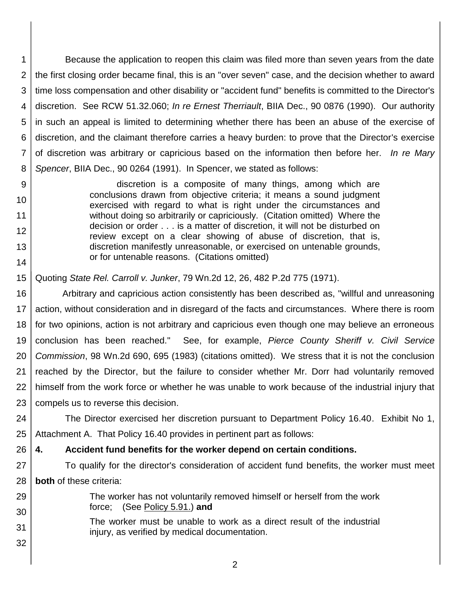1 2 3 4 5 6 7 8 Because the application to reopen this claim was filed more than seven years from the date the first closing order became final, this is an "over seven" case, and the decision whether to award time loss compensation and other disability or "accident fund" benefits is committed to the Director's discretion. See RCW 51.32.060; *In re Ernest Therriault*, BIIA Dec., 90 0876 (1990). Our authority in such an appeal is limited to determining whether there has been an abuse of the exercise of discretion, and the claimant therefore carries a heavy burden: to prove that the Director's exercise of discretion was arbitrary or capricious based on the information then before her. *In re Mary Spencer*, BIIA Dec., 90 0264 (1991). In Spencer, we stated as follows:

- discretion is a composite of many things, among which are conclusions drawn from objective criteria; it means a sound judgment exercised with regard to what is right under the circumstances and without doing so arbitrarily or capriciously. (Citation omitted) Where the decision or order . . . is a matter of discretion, it will not be disturbed on review except on a clear showing of abuse of discretion, that is, discretion manifestly unreasonable, or exercised on untenable grounds, or for untenable reasons. (Citations omitted)
- 15 Quoting *State Rel. Carroll v. Junker*, 79 Wn.2d 12, 26, 482 P.2d 775 (1971).

9

10

11 12

13

14

32

16 17 18 19 20 21 22 23 Arbitrary and capricious action consistently has been described as, "willful and unreasoning action, without consideration and in disregard of the facts and circumstances. Where there is room for two opinions, action is not arbitrary and capricious even though one may believe an erroneous conclusion has been reached." See, for example, *Pierce County Sheriff v. Civil Service Commission*, 98 Wn.2d 690, 695 (1983) (citations omitted). We stress that it is not the conclusion reached by the Director, but the failure to consider whether Mr. Dorr had voluntarily removed himself from the work force or whether he was unable to work because of the industrial injury that compels us to reverse this decision.

24 25 The Director exercised her discretion pursuant to Department Policy 16.40. Exhibit No 1, Attachment A. That Policy 16.40 provides in pertinent part as follows:

#### 26 **4. Accident fund benefits for the worker depend on certain conditions.**

- 27 28 To qualify for the director's consideration of accident fund benefits, the worker must meet **both** of these criteria:
- 29 30 The worker has not voluntarily removed himself or herself from the work force; (See Policy 5.91.) **and**
- 31 The worker must be unable to work as a direct result of the industrial injury, as verified by medical documentation.
	- 2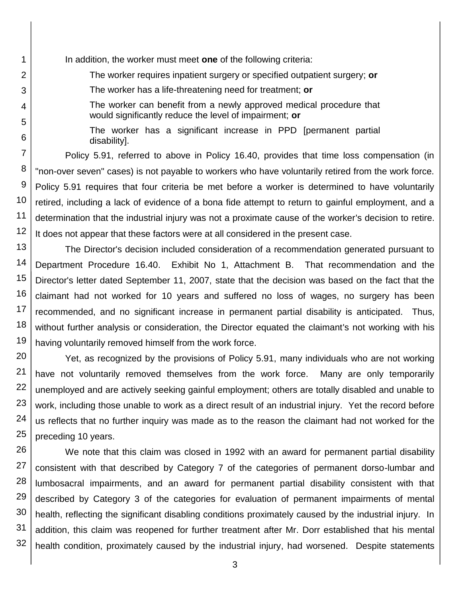In addition, the worker must meet **one** of the following criteria:

1

2

3

4

5

6

The worker requires inpatient surgery or specified outpatient surgery; **or**

The worker has a life-threatening need for treatment; **or**

The worker can benefit from a newly approved medical procedure that would significantly reduce the level of impairment; **or**

The worker has a significant increase in PPD [permanent partial disability].

7 8 9 10 11 12 Policy 5.91, referred to above in Policy 16.40, provides that time loss compensation (in "non-over seven" cases) is not payable to workers who have voluntarily retired from the work force. Policy 5.91 requires that four criteria be met before a worker is determined to have voluntarily retired, including a lack of evidence of a bona fide attempt to return to gainful employment, and a determination that the industrial injury was not a proximate cause of the worker's decision to retire. It does not appear that these factors were at all considered in the present case.

13 14 15 16 17 18 19 The Director's decision included consideration of a recommendation generated pursuant to Department Procedure 16.40. Exhibit No 1, Attachment B. That recommendation and the Director's letter dated September 11, 2007, state that the decision was based on the fact that the claimant had not worked for 10 years and suffered no loss of wages, no surgery has been recommended, and no significant increase in permanent partial disability is anticipated. Thus, without further analysis or consideration, the Director equated the claimant's not working with his having voluntarily removed himself from the work force.

20 21 22 23 24 25 Yet, as recognized by the provisions of Policy 5.91, many individuals who are not working have not voluntarily removed themselves from the work force. Many are only temporarily unemployed and are actively seeking gainful employment; others are totally disabled and unable to work, including those unable to work as a direct result of an industrial injury. Yet the record before us reflects that no further inquiry was made as to the reason the claimant had not worked for the preceding 10 years.

26 27 28 29 30 31 32 We note that this claim was closed in 1992 with an award for permanent partial disability consistent with that described by Category 7 of the categories of permanent dorso-lumbar and lumbosacral impairments, and an award for permanent partial disability consistent with that described by Category 3 of the categories for evaluation of permanent impairments of mental health, reflecting the significant disabling conditions proximately caused by the industrial injury. In addition, this claim was reopened for further treatment after Mr. Dorr established that his mental health condition, proximately caused by the industrial injury, had worsened. Despite statements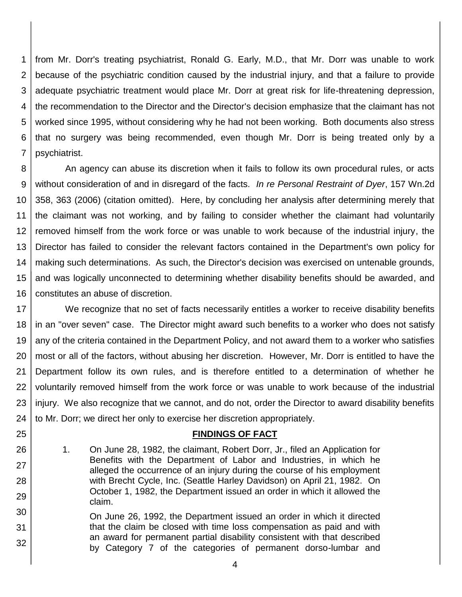1 2 3 4 5 6 7 from Mr. Dorr's treating psychiatrist, Ronald G. Early, M.D., that Mr. Dorr was unable to work because of the psychiatric condition caused by the industrial injury, and that a failure to provide adequate psychiatric treatment would place Mr. Dorr at great risk for life-threatening depression, the recommendation to the Director and the Director's decision emphasize that the claimant has not worked since 1995, without considering why he had not been working. Both documents also stress that no surgery was being recommended, even though Mr. Dorr is being treated only by a psychiatrist.

8 9 10 11 12 13 14 15 16 An agency can abuse its discretion when it fails to follow its own procedural rules, or acts without consideration of and in disregard of the facts. *In re Personal Restraint of Dyer*, 157 Wn.2d 358, 363 (2006) (citation omitted). Here, by concluding her analysis after determining merely that the claimant was not working, and by failing to consider whether the claimant had voluntarily removed himself from the work force or was unable to work because of the industrial injury, the Director has failed to consider the relevant factors contained in the Department's own policy for making such determinations. As such, the Director's decision was exercised on untenable grounds, and was logically unconnected to determining whether disability benefits should be awarded, and constitutes an abuse of discretion.

17 18 19 20 21 22 23 24 We recognize that no set of facts necessarily entitles a worker to receive disability benefits in an "over seven" case. The Director might award such benefits to a worker who does not satisfy any of the criteria contained in the Department Policy, and not award them to a worker who satisfies most or all of the factors, without abusing her discretion. However, Mr. Dorr is entitled to have the Department follow its own rules, and is therefore entitled to a determination of whether he voluntarily removed himself from the work force or was unable to work because of the industrial injury. We also recognize that we cannot, and do not, order the Director to award disability benefits to Mr. Dorr; we direct her only to exercise her discretion appropriately.

### **FINDINGS OF FACT**

1. On June 28, 1982, the claimant, Robert Dorr, Jr., filed an Application for Benefits with the Department of Labor and Industries, in which he alleged the occurrence of an injury during the course of his employment with Brecht Cycle, Inc. (Seattle Harley Davidson) on April 21, 1982. On October 1, 1982, the Department issued an order in which it allowed the claim.

25

26

27

28

29

30 31 32 On June 26, 1992, the Department issued an order in which it directed that the claim be closed with time loss compensation as paid and with an award for permanent partial disability consistent with that described by Category 7 of the categories of permanent dorso-lumbar and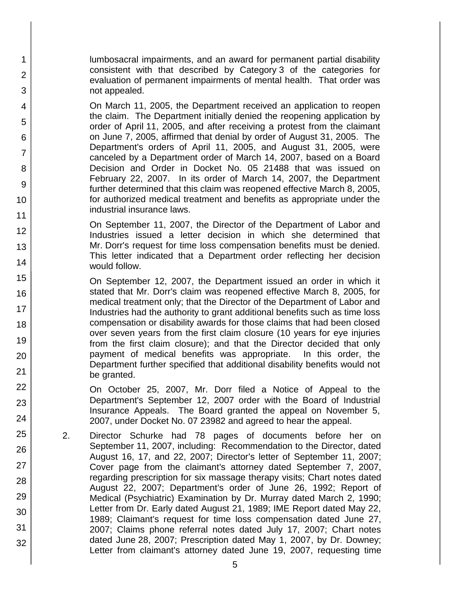lumbosacral impairments, and an award for permanent partial disability consistent with that described by Category 3 of the categories for evaluation of permanent impairments of mental health. That order was not appealed.

1

2

3

4

5

6

7

8

9

10

11

12

13

14

15

16

17 18

19

20

21 22

23

24

25

26

27

28

29

30

31

32

On March 11, 2005, the Department received an application to reopen the claim. The Department initially denied the reopening application by order of April 11, 2005, and after receiving a protest from the claimant on June 7, 2005, affirmed that denial by order of August 31, 2005. The Department's orders of April 11, 2005, and August 31, 2005, were canceled by a Department order of March 14, 2007, based on a Board Decision and Order in Docket No. 05 21488 that was issued on February 22, 2007. In its order of March 14, 2007, the Department further determined that this claim was reopened effective March 8, 2005, for authorized medical treatment and benefits as appropriate under the industrial insurance laws.

On September 11, 2007, the Director of the Department of Labor and Industries issued a letter decision in which she determined that Mr. Dorr's request for time loss compensation benefits must be denied. This letter indicated that a Department order reflecting her decision would follow.

On September 12, 2007, the Department issued an order in which it stated that Mr. Dorr's claim was reopened effective March 8, 2005, for medical treatment only; that the Director of the Department of Labor and Industries had the authority to grant additional benefits such as time loss compensation or disability awards for those claims that had been closed over seven years from the first claim closure (10 years for eye injuries from the first claim closure); and that the Director decided that only payment of medical benefits was appropriate. In this order, the Department further specified that additional disability benefits would not be granted.

On October 25, 2007, Mr. Dorr filed a Notice of Appeal to the Department's September 12, 2007 order with the Board of Industrial Insurance Appeals. The Board granted the appeal on November 5, 2007, under Docket No. 07 23982 and agreed to hear the appeal.

2. Director Schurke had 78 pages of documents before her on September 11, 2007, including: Recommendation to the Director, dated August 16, 17, and 22, 2007; Director's letter of September 11, 2007; Cover page from the claimant's attorney dated September 7, 2007, regarding prescription for six massage therapy visits; Chart notes dated August 22, 2007; Department's order of June 26, 1992; Report of Medical (Psychiatric) Examination by Dr. Murray dated March 2, 1990; Letter from Dr. Early dated August 21, 1989; IME Report dated May 22, 1989; Claimant's request for time loss compensation dated June 27, 2007; Claims phone referral notes dated July 17, 2007; Chart notes dated June 28, 2007; Prescription dated May 1, 2007, by Dr. Downey; Letter from claimant's attorney dated June 19, 2007, requesting time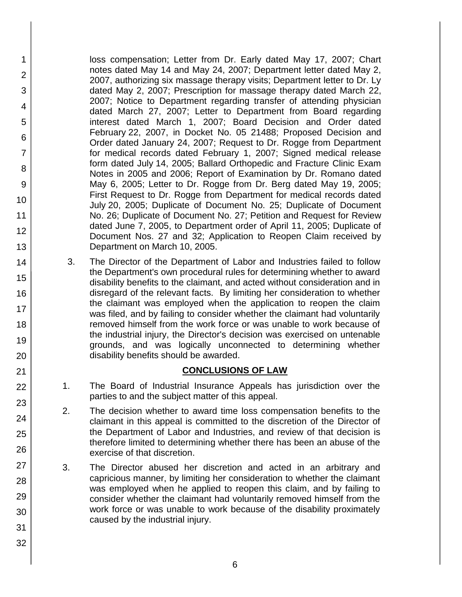loss compensation; Letter from Dr. Early dated May 17, 2007; Chart notes dated May 14 and May 24, 2007; Department letter dated May 2, 2007, authorizing six massage therapy visits; Department letter to Dr. Ly dated May 2, 2007; Prescription for massage therapy dated March 22, 2007; Notice to Department regarding transfer of attending physician dated March 27, 2007; Letter to Department from Board regarding interest dated March 1, 2007; Board Decision and Order dated February 22, 2007, in Docket No. 05 21488; Proposed Decision and Order dated January 24, 2007; Request to Dr. Rogge from Department for medical records dated February 1, 2007; Signed medical release form dated July 14, 2005; Ballard Orthopedic and Fracture Clinic Exam Notes in 2005 and 2006; Report of Examination by Dr. Romano dated May 6, 2005; Letter to Dr. Rogge from Dr. Berg dated May 19, 2005; First Request to Dr. Rogge from Department for medical records dated July 20, 2005; Duplicate of Document No. 25; Duplicate of Document No. 26; Duplicate of Document No. 27; Petition and Request for Review dated June 7, 2005, to Department order of April 11, 2005; Duplicate of Document Nos. 27 and 32; Application to Reopen Claim received by Department on March 10, 2005.

 3. The Director of the Department of Labor and Industries failed to follow the Department's own procedural rules for determining whether to award disability benefits to the claimant, and acted without consideration and in disregard of the relevant facts. By limiting her consideration to whether the claimant was employed when the application to reopen the claim was filed, and by failing to consider whether the claimant had voluntarily removed himself from the work force or was unable to work because of the industrial injury, the Director's decision was exercised on untenable grounds, and was logically unconnected to determining whether disability benefits should be awarded.

## **CONCLUSIONS OF LAW**

- 1. The Board of Industrial Insurance Appeals has jurisdiction over the parties to and the subject matter of this appeal.
- 2. The decision whether to award time loss compensation benefits to the claimant in this appeal is committed to the discretion of the Director of the Department of Labor and Industries, and review of that decision is therefore limited to determining whether there has been an abuse of the exercise of that discretion.
- 3. The Director abused her discretion and acted in an arbitrary and capricious manner, by limiting her consideration to whether the claimant was employed when he applied to reopen this claim, and by failing to consider whether the claimant had voluntarily removed himself from the work force or was unable to work because of the disability proximately caused by the industrial injury.
- 17 18 19 20 21 22 23 24 25 26 27 28 29 30 31 32

1

2

3

4

5

6

7

8

9

10

11

12

13

14

15

16